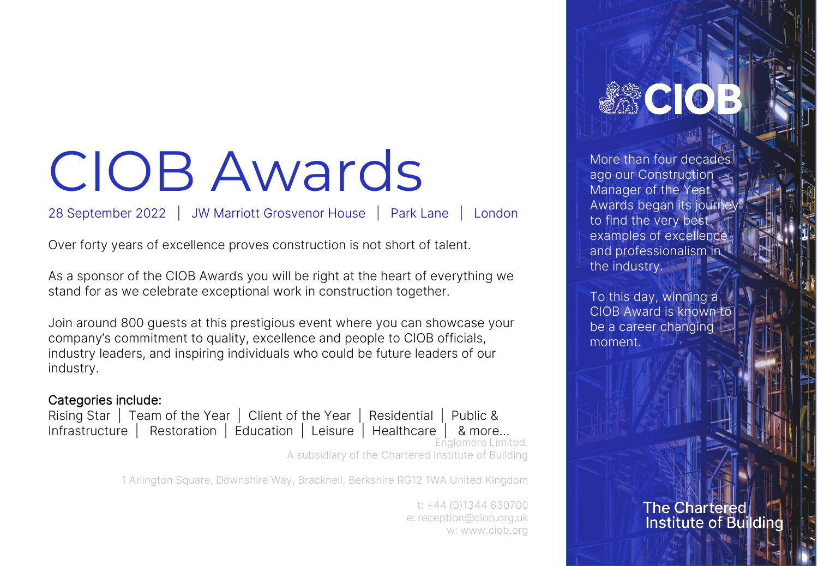## CIOB Awards

## 28 September 2022 | JW Marriott Grosvenor House | Park Lane | London

Over forty years of excellence proves construction is not short of talent.

As a sponsor of the CIOB Awards you will be right at the heart of everything we stand for as we celebrate exceptional work in construction together.

Join around 800 guests at this prestigious event where you can showcase your company's commitment to quality, excellence and people to CIOB officials, industry leaders, and inspiring individuals who could be future leaders of our industry.

## Categories include:

Infrastructure | Restoration | Education | Leisure | Healthcare | & more…

Rising Star | Team of the Year | Client of the Year | Residential | Public &

Englemere Limited.

A subsidiary of the Chartered Institute of Building

1 Arlington Square, Downshire Way, Bracknell, Berkshire RG12 1WA United Kingdom

t: +44 (0)1344 630700 e: [reception@ciob.org.uk](mailto:reception@ciob.org.uk) w: [www.ciob.org](http://www.ciob.org/)

**ASCIOE** 

More than four decades ago our Construction Manager of the Year Awards began its journey to find the very best examples of excellence and professionalism in the industry.

To this day, winning a CIOB Award is known to be a career changing moment.

> **The Chartered Institute of Building**